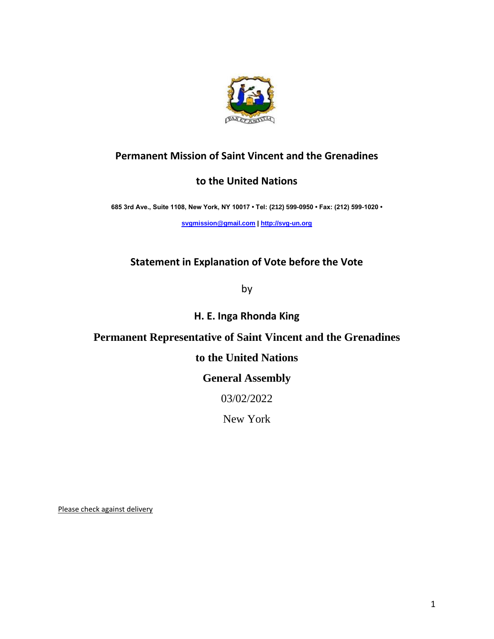

# **Permanent Mission of Saint Vincent and the Grenadines**

## **to the United Nations**

**685 3rd Ave., Suite 1108, New York, NY 10017 • Tel: (212) 599-0950 • Fax: (212) 599-1020 •** 

**[svgmission@gmail.com](about:blank) [| http://svg-un.org](about:blank)**

## **Statement in Explanation of Vote before the Vote**

by

**H. E. Inga Rhonda King** 

### **Permanent Representative of Saint Vincent and the Grenadines**

## **to the United Nations**

## **General Assembly**

03/02/2022

New York

Please check against delivery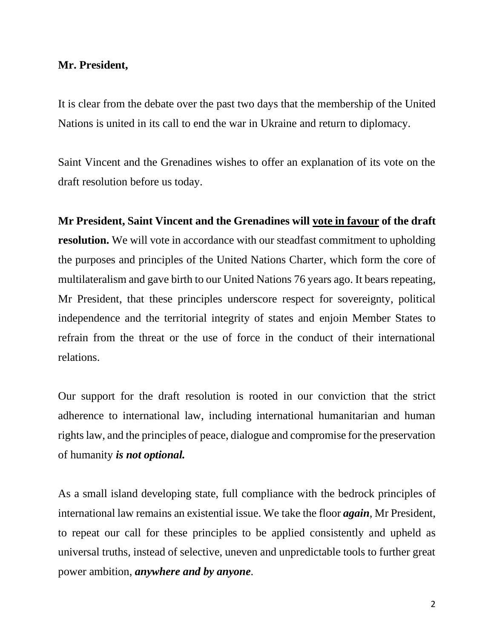#### **Mr. President,**

It is clear from the debate over the past two days that the membership of the United Nations is united in its call to end the war in Ukraine and return to diplomacy.

Saint Vincent and the Grenadines wishes to offer an explanation of its vote on the draft resolution before us today.

**Mr President, Saint Vincent and the Grenadines will vote in favour of the draft resolution.** We will vote in accordance with our steadfast commitment to upholding the purposes and principles of the United Nations Charter, which form the core of multilateralism and gave birth to our United Nations 76 years ago. It bears repeating, Mr President, that these principles underscore respect for sovereignty, political independence and the territorial integrity of states and enjoin Member States to refrain from the threat or the use of force in the conduct of their international relations.

Our support for the draft resolution is rooted in our conviction that the strict adherence to international law, including international humanitarian and human rights law, and the principles of peace, dialogue and compromise for the preservation of humanity *is not optional.* 

As a small island developing state, full compliance with the bedrock principles of international law remains an existential issue. We take the floor *again*, Mr President, to repeat our call for these principles to be applied consistently and upheld as universal truths, instead of selective, uneven and unpredictable tools to further great power ambition, *anywhere and by anyone*.